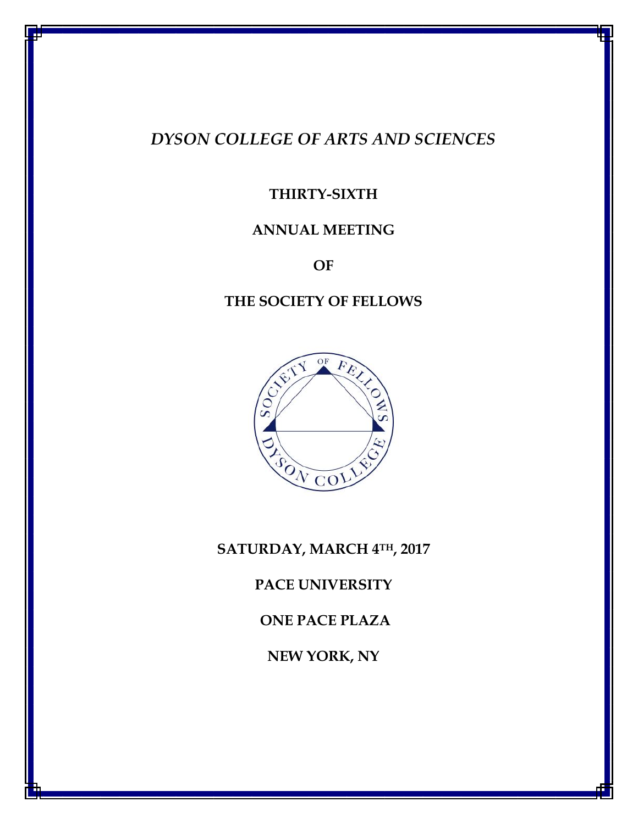# *DYSON COLLEGE OF ARTS AND SCIENCES*

# **THIRTY-SIXTH**

# **ANNUAL MEETING**

**OF**

# **THE SOCIETY OF FELLOWS**



### **SATURDAY, MARCH 4TH, 2017**

**PACE UNIVERSITY** 

**ONE PACE PLAZA**

**NEW YORK, NY**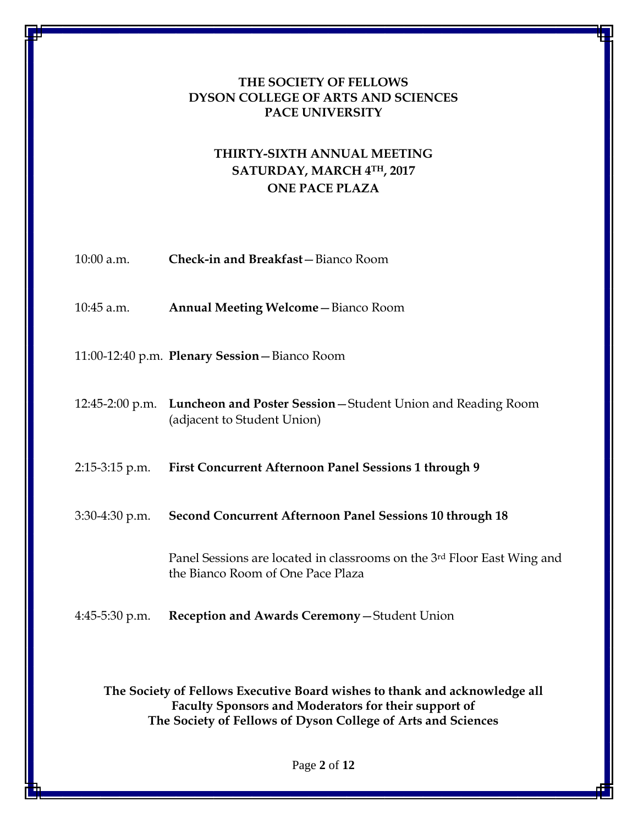### **THE SOCIETY OF FELLOWS DYSON COLLEGE OF ARTS AND SCIENCES PACE UNIVERSITY**

### **THIRTY-SIXTH ANNUAL MEETING SATURDAY, MARCH 4TH, 2017 ONE PACE PLAZA**

| 10:00 a.m.       | Check-in and Breakfast-Bianco Room                                                                           |
|------------------|--------------------------------------------------------------------------------------------------------------|
| $10:45$ a.m.     | <b>Annual Meeting Welcome - Bianco Room</b>                                                                  |
|                  | 11:00-12:40 p.m. Plenary Session - Bianco Room                                                               |
|                  | 12:45-2:00 p.m. Luncheon and Poster Session – Student Union and Reading Room<br>(adjacent to Student Union)  |
| $2:15-3:15$ p.m. | <b>First Concurrent Afternoon Panel Sessions 1 through 9</b>                                                 |
| $3:30-4:30$ p.m. | <b>Second Concurrent Afternoon Panel Sessions 10 through 18</b>                                              |
|                  | Panel Sessions are located in classrooms on the 3rd Floor East Wing and<br>the Bianco Room of One Pace Plaza |
| $4:45-5:30$ p.m. | Reception and Awards Ceremony-Student Union                                                                  |

**The Society of Fellows Executive Board wishes to thank and acknowledge all Faculty Sponsors and Moderators for their support of The Society of Fellows of Dyson College of Arts and Sciences**

Page **2** of **12**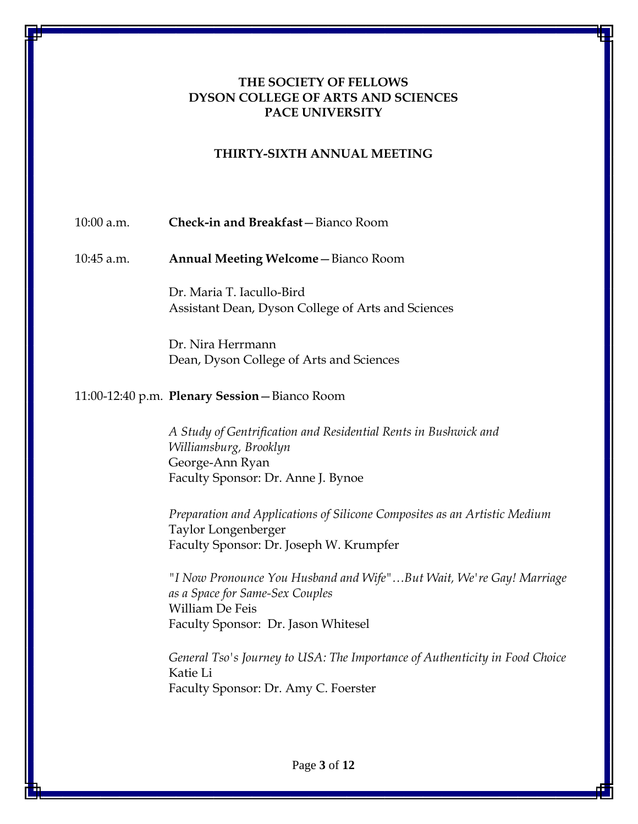#### **THE SOCIETY OF FELLOWS DYSON COLLEGE OF ARTS AND SCIENCES PACE UNIVERSITY**

#### **THIRTY-SIXTH ANNUAL MEETING**

#### 10:00 a.m. **Check-in and Breakfast**—Bianco Room

10:45 a.m. **Annual Meeting Welcome**—Bianco Room

Dr. Maria T. Iacullo-Bird Assistant Dean, Dyson College of Arts and Sciences

Dr. Nira Herrmann Dean, Dyson College of Arts and Sciences

#### 11:00-12:40 p.m. **Plenary Session**—Bianco Room

*A Study of Gentrification and Residential Rents in Bushwick and Williamsburg, Brooklyn* George-Ann Ryan Faculty Sponsor: Dr. Anne J. Bynoe

*Preparation and Applications of Silicone Composites as an Artistic Medium* Taylor Longenberger Faculty Sponsor: Dr. Joseph W. Krumpfer

*"I Now Pronounce You Husband and Wife"…But Wait, We're Gay! Marriage as a Space for Same-Sex Couples* William De Feis Faculty Sponsor: Dr. Jason Whitesel

*General Tso's Journey to USA: The Importance of Authenticity in Food Choice* Katie Li Faculty Sponsor: Dr. Amy C. Foerster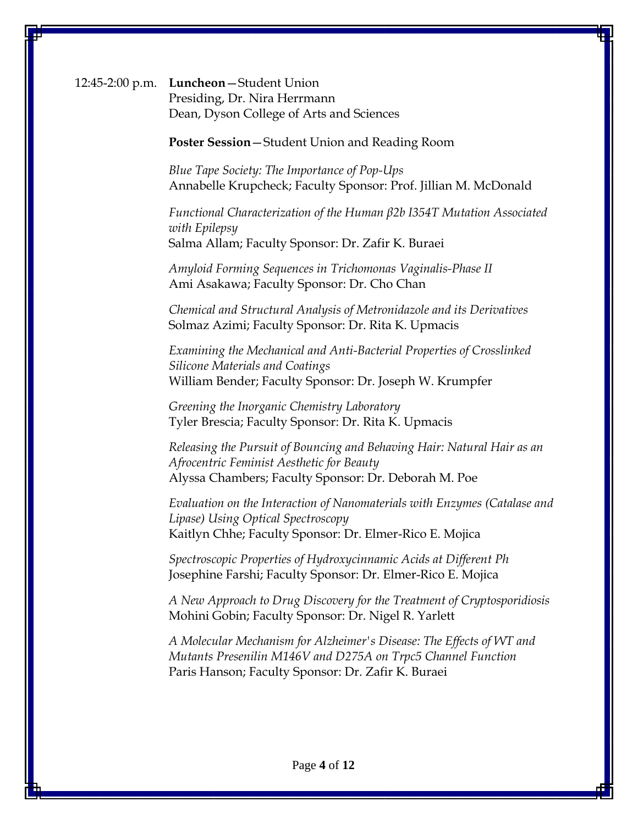12:45-2:00 p.m. **Luncheon**—Student Union Presiding, Dr. Nira Herrmann Dean, Dyson College of Arts and Sciences

**Poster Session**—Student Union and Reading Room

*Blue Tape Society: The Importance of Pop-Ups* Annabelle Krupcheck; Faculty Sponsor: Prof. Jillian M. McDonald

*Functional Characterization of the Human β2b I354T Mutation Associated with Epilepsy* Salma Allam; Faculty Sponsor: Dr. Zafir K. Buraei

*Amyloid Forming Sequences in Trichomonas Vaginalis-Phase II* Ami Asakawa; Faculty Sponsor: Dr. Cho Chan

*Chemical and Structural Analysis of Metronidazole and its Derivatives* Solmaz Azimi; Faculty Sponsor: Dr. Rita K. Upmacis

*Examining the Mechanical and Anti-Bacterial Properties of Crosslinked Silicone Materials and Coatings* William Bender; Faculty Sponsor: Dr. Joseph W. Krumpfer

*Greening the Inorganic Chemistry Laboratory* Tyler Brescia; Faculty Sponsor: Dr. Rita K. Upmacis

*Releasing the Pursuit of Bouncing and Behaving Hair: Natural Hair as an Afrocentric Feminist Aesthetic for Beauty* Alyssa Chambers; Faculty Sponsor: Dr. Deborah M. Poe

*Evaluation on the Interaction of Nanomaterials with Enzymes (Catalase and Lipase) Using Optical Spectroscopy* Kaitlyn Chhe; Faculty Sponsor: Dr. Elmer-Rico E. Mojica

*Spectroscopic Properties of Hydroxycinnamic Acids at Different Ph* Josephine Farshi; Faculty Sponsor: Dr. Elmer-Rico E. Mojica

*A New Approach to Drug Discovery for the Treatment of Cryptosporidiosis* Mohini Gobin; Faculty Sponsor: Dr. Nigel R. Yarlett

*A Molecular Mechanism for Alzheimer's Disease: The Effects of WT and Mutants Presenilin M146V and D275A on Trpc5 Channel Function* Paris Hanson; Faculty Sponsor: Dr. Zafir K. Buraei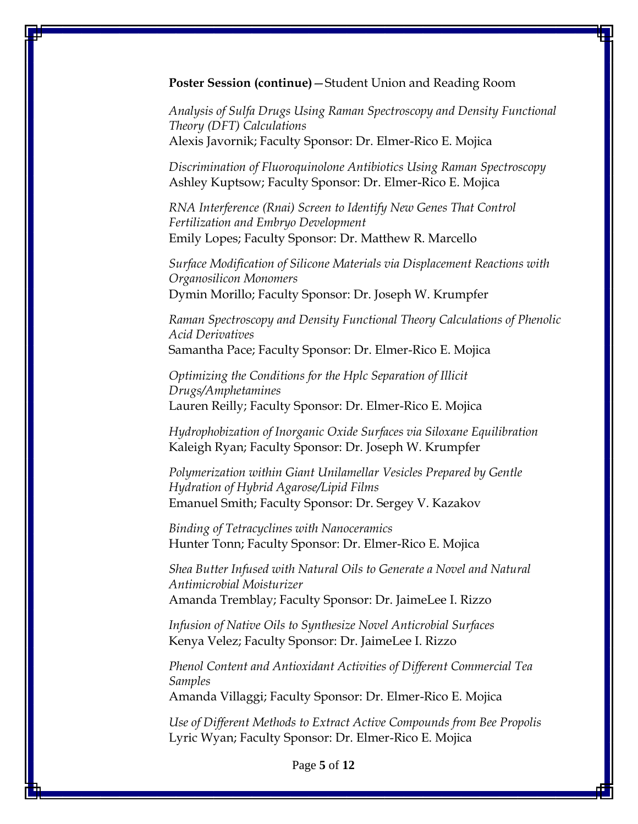**Poster Session (continue)**—Student Union and Reading Room

*Analysis of Sulfa Drugs Using Raman Spectroscopy and Density Functional Theory (DFT) Calculations* Alexis Javornik; Faculty Sponsor: Dr. Elmer-Rico E. Mojica

*Discrimination of Fluoroquinolone Antibiotics Using Raman Spectroscopy* Ashley Kuptsow; Faculty Sponsor: Dr. Elmer-Rico E. Mojica

*RNA Interference (Rnai) Screen to Identify New Genes That Control Fertilization and Embryo Development* Emily Lopes; Faculty Sponsor: Dr. Matthew R. Marcello

*Surface Modification of Silicone Materials via Displacement Reactions with Organosilicon Monomers* Dymin Morillo; Faculty Sponsor: Dr. Joseph W. Krumpfer

*Raman Spectroscopy and Density Functional Theory Calculations of Phenolic Acid Derivatives* Samantha Pace; Faculty Sponsor: Dr. Elmer-Rico E. Mojica

*Optimizing the Conditions for the Hplc Separation of Illicit Drugs/Amphetamines* Lauren Reilly; Faculty Sponsor: Dr. Elmer-Rico E. Mojica

*Hydrophobization of Inorganic Oxide Surfaces via Siloxane Equilibration* Kaleigh Ryan; Faculty Sponsor: Dr. Joseph W. Krumpfer

*Polymerization within Giant Unilamellar Vesicles Prepared by Gentle Hydration of Hybrid Agarose/Lipid Films* Emanuel Smith; Faculty Sponsor: Dr. Sergey V. Kazakov

*Binding of Tetracyclines with Nanoceramics* Hunter Tonn; Faculty Sponsor: Dr. Elmer-Rico E. Mojica

*Shea Butter Infused with Natural Oils to Generate a Novel and Natural Antimicrobial Moisturizer* Amanda Tremblay; Faculty Sponsor: Dr. JaimeLee I. Rizzo

*Infusion of Native Oils to Synthesize Novel Anticrobial Surfaces* Kenya Velez; Faculty Sponsor: Dr. JaimeLee I. Rizzo

*Phenol Content and Antioxidant Activities of Different Commercial Tea Samples*

Amanda Villaggi; Faculty Sponsor: Dr. Elmer-Rico E. Mojica

*Use of Different Methods to Extract Active Compounds from Bee Propolis* Lyric Wyan; Faculty Sponsor: Dr. Elmer-Rico E. Mojica

Page **5** of **12**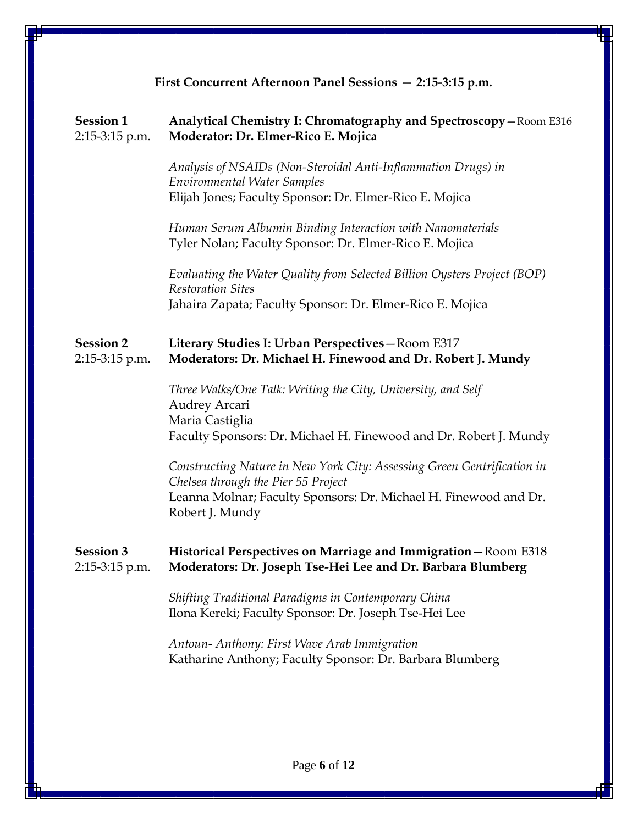| First Concurrent Afternoon Panel Sessions - 2:15-3:15 p.m. |                                                                                                                                                                                                       |
|------------------------------------------------------------|-------------------------------------------------------------------------------------------------------------------------------------------------------------------------------------------------------|
| <b>Session 1</b><br>2:15-3:15 p.m.                         | Analytical Chemistry I: Chromatography and Spectroscopy-Room E316<br>Moderator: Dr. Elmer-Rico E. Mojica                                                                                              |
|                                                            | Analysis of NSAIDs (Non-Steroidal Anti-Inflammation Drugs) in<br><b>Environmental Water Samples</b><br>Elijah Jones; Faculty Sponsor: Dr. Elmer-Rico E. Mojica                                        |
|                                                            | Human Serum Albumin Binding Interaction with Nanomaterials<br>Tyler Nolan; Faculty Sponsor: Dr. Elmer-Rico E. Mojica                                                                                  |
|                                                            | Evaluating the Water Quality from Selected Billion Oysters Project (BOP)<br><b>Restoration Sites</b><br>Jahaira Zapata; Faculty Sponsor: Dr. Elmer-Rico E. Mojica                                     |
| <b>Session 2</b><br>2:15-3:15 p.m.                         | Literary Studies I: Urban Perspectives-Room E317<br>Moderators: Dr. Michael H. Finewood and Dr. Robert J. Mundy                                                                                       |
|                                                            | Three Walks/One Talk: Writing the City, University, and Self<br><b>Audrey Arcari</b><br>Maria Castiglia<br>Faculty Sponsors: Dr. Michael H. Finewood and Dr. Robert J. Mundy                          |
|                                                            | Constructing Nature in New York City: Assessing Green Gentrification in<br>Chelsea through the Pier 55 Project<br>Leanna Molnar; Faculty Sponsors: Dr. Michael H. Finewood and Dr.<br>Robert J. Mundy |
| <b>Session 3</b><br>2:15-3:15 p.m.                         | Historical Perspectives on Marriage and Immigration - Room E318<br>Moderators: Dr. Joseph Tse-Hei Lee and Dr. Barbara Blumberg                                                                        |
|                                                            | Shifting Traditional Paradigms in Contemporary China<br>Ilona Kereki; Faculty Sponsor: Dr. Joseph Tse-Hei Lee                                                                                         |
|                                                            | Antoun-Anthony: First Wave Arab Immigration<br>Katharine Anthony; Faculty Sponsor: Dr. Barbara Blumberg                                                                                               |
|                                                            |                                                                                                                                                                                                       |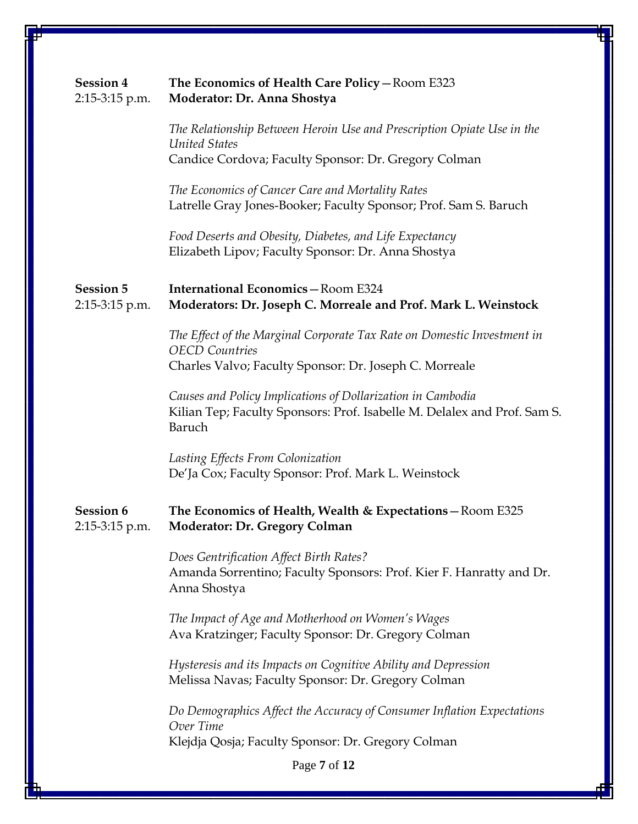| <b>Session 4</b><br>2:15-3:15 p.m. | The Economics of Health Care Policy - Room E323<br>Moderator: Dr. Anna Shostya                                                                             |
|------------------------------------|------------------------------------------------------------------------------------------------------------------------------------------------------------|
|                                    | The Relationship Between Heroin Use and Prescription Opiate Use in the<br><b>United States</b><br>Candice Cordova; Faculty Sponsor: Dr. Gregory Colman     |
|                                    | The Economics of Cancer Care and Mortality Rates<br>Latrelle Gray Jones-Booker; Faculty Sponsor; Prof. Sam S. Baruch                                       |
|                                    | Food Deserts and Obesity, Diabetes, and Life Expectancy<br>Elizabeth Lipov; Faculty Sponsor: Dr. Anna Shostya                                              |
| <b>Session 5</b><br>2:15-3:15 p.m. | <b>International Economics-Room E324</b><br>Moderators: Dr. Joseph C. Morreale and Prof. Mark L. Weinstock                                                 |
|                                    | The Effect of the Marginal Corporate Tax Rate on Domestic Investment in<br><b>OECD</b> Countries<br>Charles Valvo; Faculty Sponsor: Dr. Joseph C. Morreale |
|                                    | Causes and Policy Implications of Dollarization in Cambodia<br>Kilian Tep; Faculty Sponsors: Prof. Isabelle M. Delalex and Prof. Sam S.<br>Baruch          |
|                                    | Lasting Effects From Colonization<br>De'Ja Cox; Faculty Sponsor: Prof. Mark L. Weinstock                                                                   |
| <b>Session 6</b><br>2:15-3:15 p.m. | The Economics of Health, Wealth & Expectations - Room E325<br>Moderator: Dr. Gregory Colman                                                                |
|                                    | Does Gentrification Affect Birth Rates?<br>Amanda Sorrentino; Faculty Sponsors: Prof. Kier F. Hanratty and Dr.<br>Anna Shostya                             |
|                                    | The Impact of Age and Motherhood on Women's Wages<br>Ava Kratzinger; Faculty Sponsor: Dr. Gregory Colman                                                   |
|                                    | Hysteresis and its Impacts on Cognitive Ability and Depression<br>Melissa Navas; Faculty Sponsor: Dr. Gregory Colman                                       |
|                                    | Do Demographics Affect the Accuracy of Consumer Inflation Expectations<br>Over Time                                                                        |
|                                    | Klejdja Qosja; Faculty Sponsor: Dr. Gregory Colman                                                                                                         |
|                                    | Page 7 of 12                                                                                                                                               |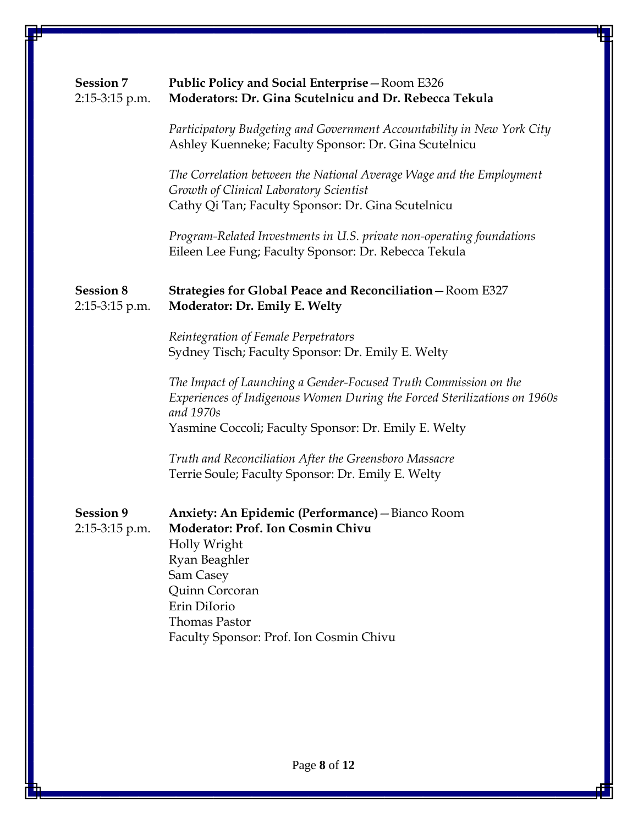| <b>Session 7</b><br>$2:15-3:15$ p.m. | Public Policy and Social Enterprise - Room E326<br>Moderators: Dr. Gina Scutelnicu and Dr. Rebecca Tekula                                                                                                                                       |
|--------------------------------------|-------------------------------------------------------------------------------------------------------------------------------------------------------------------------------------------------------------------------------------------------|
|                                      | Participatory Budgeting and Government Accountability in New York City<br>Ashley Kuenneke; Faculty Sponsor: Dr. Gina Scutelnicu                                                                                                                 |
|                                      | The Correlation between the National Average Wage and the Employment<br>Growth of Clinical Laboratory Scientist<br>Cathy Qi Tan; Faculty Sponsor: Dr. Gina Scutelnicu                                                                           |
|                                      | Program-Related Investments in U.S. private non-operating foundations<br>Eileen Lee Fung; Faculty Sponsor: Dr. Rebecca Tekula                                                                                                                   |
| <b>Session 8</b><br>2:15-3:15 p.m.   | Strategies for Global Peace and Reconciliation - Room E327<br>Moderator: Dr. Emily E. Welty                                                                                                                                                     |
|                                      | Reintegration of Female Perpetrators<br>Sydney Tisch; Faculty Sponsor: Dr. Emily E. Welty                                                                                                                                                       |
|                                      | The Impact of Launching a Gender-Focused Truth Commission on the<br>Experiences of Indigenous Women During the Forced Sterilizations on 1960s<br>and 1970s<br>Yasmine Coccoli; Faculty Sponsor: Dr. Emily E. Welty                              |
|                                      | Truth and Reconciliation After the Greensboro Massacre<br>Terrie Soule; Faculty Sponsor: Dr. Emily E. Welty                                                                                                                                     |
| <b>Session 9</b><br>2:15-3:15 p.m.   | Anxiety: An Epidemic (Performance) - Bianco Room<br><b>Moderator: Prof. Ion Cosmin Chivu</b><br>Holly Wright<br>Ryan Beaghler<br>Sam Casey<br>Quinn Corcoran<br>Erin DiIorio<br><b>Thomas Pastor</b><br>Faculty Sponsor: Prof. Ion Cosmin Chivu |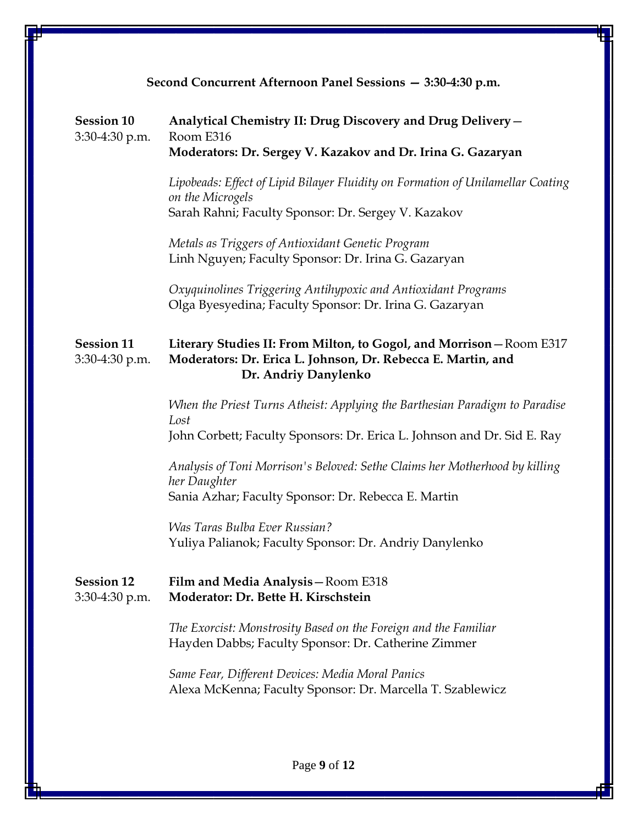| Second Concurrent Afternoon Panel Sessions - 3:30-4:30 p.m. |                                                                                                                                                                |  |
|-------------------------------------------------------------|----------------------------------------------------------------------------------------------------------------------------------------------------------------|--|
| <b>Session 10</b><br>3:30-4:30 p.m.                         | Analytical Chemistry II: Drug Discovery and Drug Delivery -<br>Room E316<br>Moderators: Dr. Sergey V. Kazakov and Dr. Irina G. Gazaryan                        |  |
|                                                             | Lipobeads: Effect of Lipid Bilayer Fluidity on Formation of Unilamellar Coating<br>on the Microgels<br>Sarah Rahni; Faculty Sponsor: Dr. Sergey V. Kazakov     |  |
|                                                             | Metals as Triggers of Antioxidant Genetic Program<br>Linh Nguyen; Faculty Sponsor: Dr. Irina G. Gazaryan                                                       |  |
|                                                             | Oxyquinolines Triggering Antihypoxic and Antioxidant Programs<br>Olga Byesyedina; Faculty Sponsor: Dr. Irina G. Gazaryan                                       |  |
| <b>Session 11</b><br>3:30-4:30 p.m.                         | Literary Studies II: From Milton, to Gogol, and Morrison - Room E317<br>Moderators: Dr. Erica L. Johnson, Dr. Rebecca E. Martin, and<br>Dr. Andriy Danylenko   |  |
|                                                             | When the Priest Turns Atheist: Applying the Barthesian Paradigm to Paradise<br>Lost<br>John Corbett; Faculty Sponsors: Dr. Erica L. Johnson and Dr. Sid E. Ray |  |
|                                                             | Analysis of Toni Morrison's Beloved: Sethe Claims her Motherhood by killing<br>her Daughter<br>Sania Azhar; Faculty Sponsor: Dr. Rebecca E. Martin             |  |
|                                                             | <b>Was Taras Bulba Ever Russian?</b><br>Yuliya Palianok; Faculty Sponsor: Dr. Andriy Danylenko                                                                 |  |
| <b>Session 12</b><br>3:30-4:30 p.m.                         | Film and Media Analysis - Room E318<br>Moderator: Dr. Bette H. Kirschstein                                                                                     |  |
|                                                             | The Exorcist: Monstrosity Based on the Foreign and the Familiar<br>Hayden Dabbs; Faculty Sponsor: Dr. Catherine Zimmer                                         |  |
|                                                             | Same Fear, Different Devices: Media Moral Panics<br>Alexa McKenna; Faculty Sponsor: Dr. Marcella T. Szablewicz                                                 |  |
|                                                             |                                                                                                                                                                |  |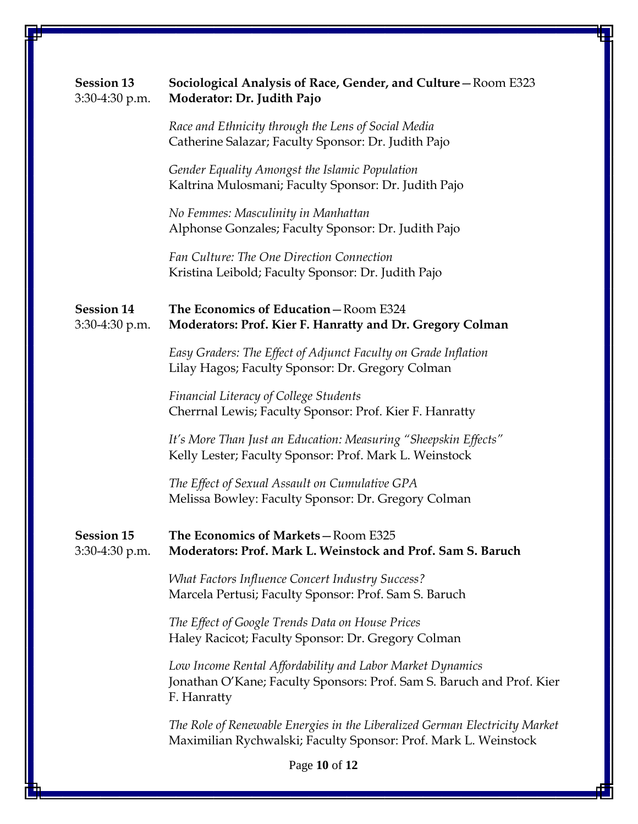| <b>Session 13</b><br>3:30-4:30 p.m. | Sociological Analysis of Race, Gender, and Culture - Room E323<br>Moderator: Dr. Judith Pajo                                                      |
|-------------------------------------|---------------------------------------------------------------------------------------------------------------------------------------------------|
|                                     | Race and Ethnicity through the Lens of Social Media<br>Catherine Salazar; Faculty Sponsor: Dr. Judith Pajo                                        |
|                                     | Gender Equality Amongst the Islamic Population<br>Kaltrina Mulosmani; Faculty Sponsor: Dr. Judith Pajo                                            |
|                                     | No Femmes: Masculinity in Manhattan<br>Alphonse Gonzales; Faculty Sponsor: Dr. Judith Pajo                                                        |
|                                     | Fan Culture: The One Direction Connection<br>Kristina Leibold; Faculty Sponsor: Dr. Judith Pajo                                                   |
| <b>Session 14</b><br>3:30-4:30 p.m. | The Economics of Education - Room E324<br>Moderators: Prof. Kier F. Hanratty and Dr. Gregory Colman                                               |
|                                     | Easy Graders: The Effect of Adjunct Faculty on Grade Inflation<br>Lilay Hagos; Faculty Sponsor: Dr. Gregory Colman                                |
|                                     | <b>Financial Literacy of College Students</b><br>Cherrnal Lewis; Faculty Sponsor: Prof. Kier F. Hanratty                                          |
|                                     | It's More Than Just an Education: Measuring "Sheepskin Effects"<br>Kelly Lester; Faculty Sponsor: Prof. Mark L. Weinstock                         |
|                                     | The Effect of Sexual Assault on Cumulative GPA<br>Melissa Bowley: Faculty Sponsor: Dr. Gregory Colman                                             |
| <b>Session 15</b><br>3:30-4:30 p.m. | The Economics of Markets-Room E325<br>Moderators: Prof. Mark L. Weinstock and Prof. Sam S. Baruch                                                 |
|                                     | <b>What Factors Influence Concert Industry Success?</b><br>Marcela Pertusi; Faculty Sponsor: Prof. Sam S. Baruch                                  |
|                                     | The Effect of Google Trends Data on House Prices<br>Haley Racicot; Faculty Sponsor: Dr. Gregory Colman                                            |
|                                     | Low Income Rental Affordability and Labor Market Dynamics<br>Jonathan O'Kane; Faculty Sponsors: Prof. Sam S. Baruch and Prof. Kier<br>F. Hanratty |
|                                     | The Role of Renewable Energies in the Liberalized German Electricity Market<br>Maximilian Rychwalski; Faculty Sponsor: Prof. Mark L. Weinstock    |
|                                     | Page 10 of 12                                                                                                                                     |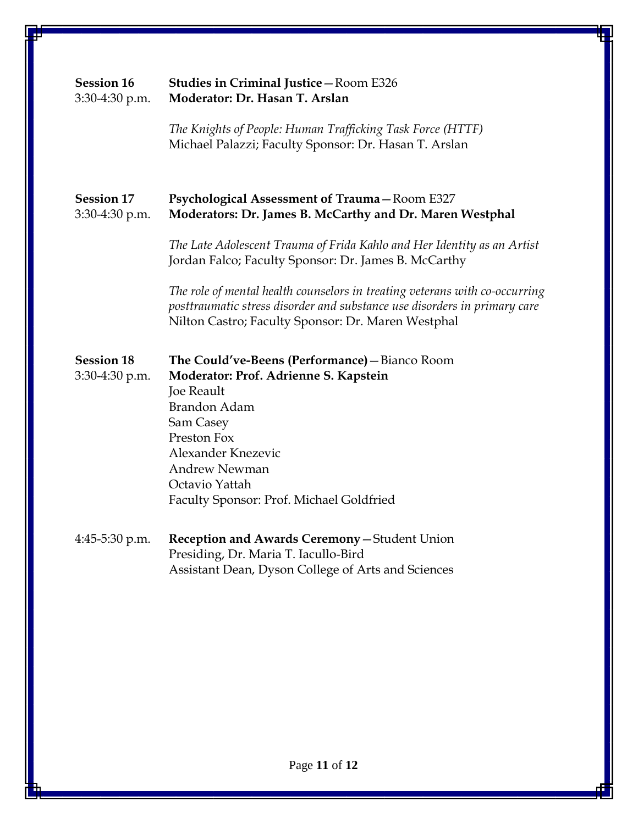| <b>Session 16</b><br>3:30-4:30 p.m. | <b>Studies in Criminal Justice - Room E326</b><br>Moderator: Dr. Hasan T. Arslan                                                                                                                                                                                            |
|-------------------------------------|-----------------------------------------------------------------------------------------------------------------------------------------------------------------------------------------------------------------------------------------------------------------------------|
|                                     | The Knights of People: Human Trafficking Task Force (HTTF)<br>Michael Palazzi; Faculty Sponsor: Dr. Hasan T. Arslan                                                                                                                                                         |
| <b>Session 17</b><br>3:30-4:30 p.m. | <b>Psychological Assessment of Trauma-Room E327</b><br>Moderators: Dr. James B. McCarthy and Dr. Maren Westphal                                                                                                                                                             |
|                                     | The Late Adolescent Trauma of Frida Kahlo and Her Identity as an Artist<br>Jordan Falco; Faculty Sponsor: Dr. James B. McCarthy                                                                                                                                             |
|                                     | The role of mental health counselors in treating veterans with co-occurring<br>posttraumatic stress disorder and substance use disorders in primary care<br>Nilton Castro; Faculty Sponsor: Dr. Maren Westphal                                                              |
| <b>Session 18</b><br>3:30-4:30 p.m. | The Could've-Beens (Performance) - Bianco Room<br>Moderator: Prof. Adrienne S. Kapstein<br><b>Joe Reault</b><br><b>Brandon Adam</b><br>Sam Casey<br>Preston Fox<br>Alexander Knezevic<br><b>Andrew Newman</b><br>Octavio Yattah<br>Faculty Sponsor: Prof. Michael Goldfried |
| 4:45-5:30 p.m.                      | Reception and Awards Ceremony-Student Union<br>Presiding, Dr. Maria T. Iacullo-Bird<br>Assistant Dean, Dyson College of Arts and Sciences                                                                                                                                   |